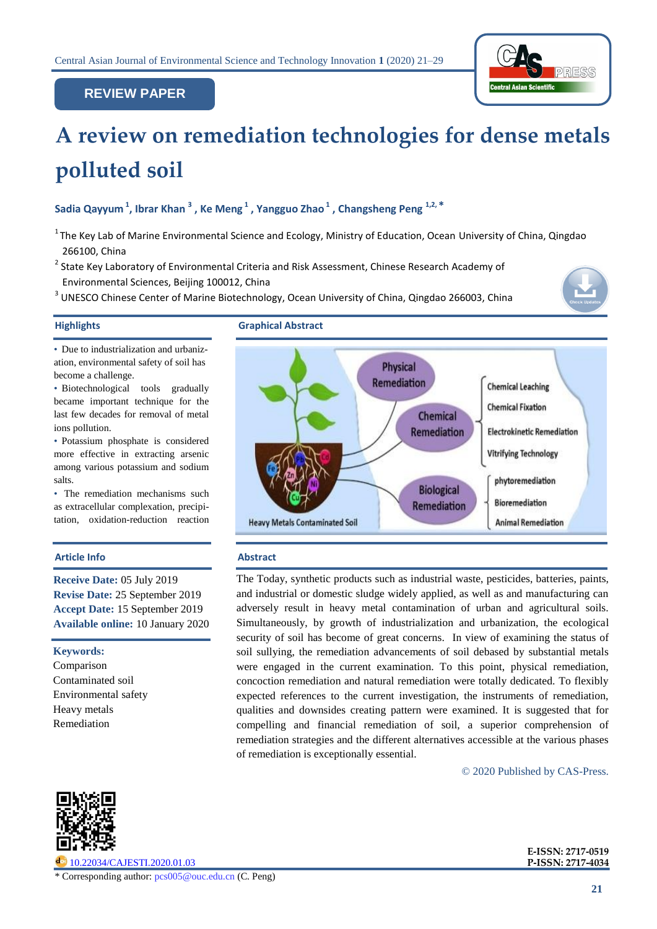

# **REVIEW PAPER**

# **A review on remediation technologies for dense metals polluted soil PAPERSEARCH PAPER**

**Sadia Qayyum <sup>1</sup> , Ibrar Khan <sup>3</sup> , Ke Meng <sup>1</sup> , Yangguo Zhao <sup>1</sup> , Changsheng Peng 1,2, \***

- $1$ The Key Lab of Marine Environmental Science and Ecology, Ministry of Education, Ocean University of China, Qingdao 266100, China
- <sup>2</sup> State Key Laboratory of Environmental Criteria and Risk Assessment, Chinese Research Academy of Environmental Sciences, Beijing 100012, China
- $3$  UNESCO Chinese Center of Marine Biotechnology, Ocean University of China, Qingdao 266003, China



• Due to industrialization and urbanization, environmental safety of soil has become a challenge.

• Biotechnological tools gradually became important technique for the last few decades for removal of metal ions pollution.

• Potassium phosphate is considered more effective in extracting arsenic among various potassium and sodium salts.

• The remediation mechanisms such as extracellular complexation, precipitation, oxidation-reduction reaction

# **Article Info Abstract**

**Receive Date:** 05 July 2019 **Revise Date:** 25 September 2019 **Accept Date:** 15 September 2019 **Available online:** 10 January 2020

**Keywords:** Comparison Contaminated soil Environmental safety Heavy metals Remediation

**Highlights Graphical Abstract**



The Today, synthetic products such as industrial waste, pesticides, batteries, paints, and industrial or domestic sludge widely applied, as well as and manufacturing can adversely result in heavy metal contamination of urban and agricultural soils. Simultaneously, by growth of industrialization and urbanization, the ecological security of soil has become of great concerns. In view of examining the status of soil sullying, the remediation advancements of soil debased by substantial metals were engaged in the current examination. To this point, physical remediation, concoction remediation and natural remediation were totally dedicated. To flexibly expected references to the current investigation, the instruments of remediation, qualities and downsides creating pattern were examined. It is suggested that for compelling and financial remediation of soil, a superior comprehension of remediation strategies and the different alternatives accessible at the various phases of remediation is exceptionally essential.

© 2020 Published by CAS-Press.



[10.22034/CAJESTI.2020.01.03](http://dx.doi.org/10.22034/CAJESTI.2020.01.03)

\* Corresponding author: pcs005@ouc.edu.cn (C. Peng)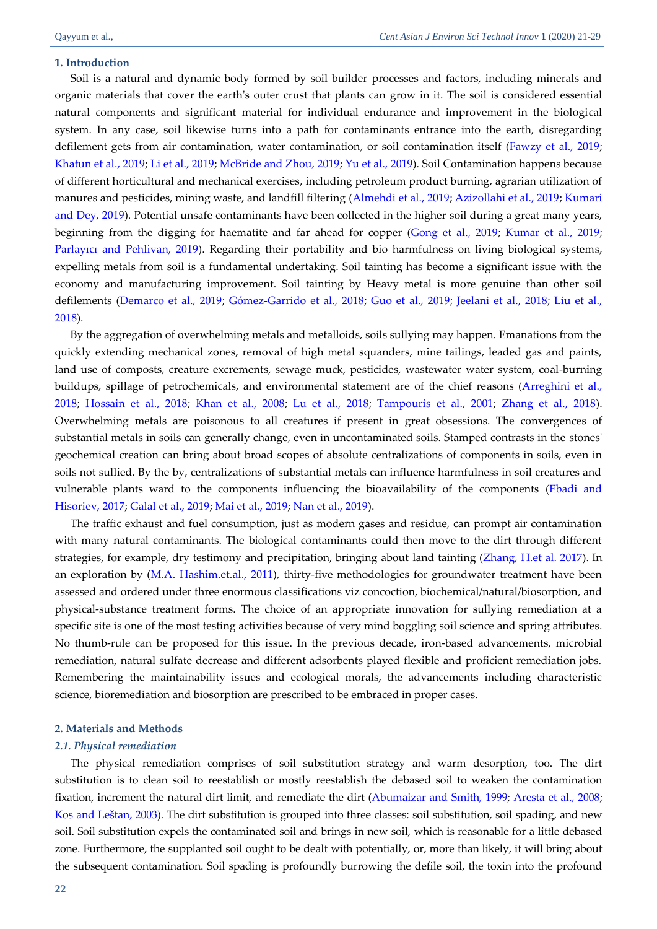### **1. Introduction**

Soil is a natural and dynamic body formed by soil builder processes and factors, including minerals and organic materials that cover the earth's outer crust that plants can grow in it. The soil is considered essential natural components and significant material for individual endurance and improvement in the biological system. In any case, soil likewise turns into a path for contaminants entrance into the earth, disregarding defilement gets from air contamination, water contamination, or soil contamination itself [\(Fawzy et al., 2019;](#page-6-0)  [Khatun et al., 2019;](#page-6-1) Li et al., 2019; [McBride and Zhou, 2019;](#page-7-0) [Yu et al., 2019\)](#page-7-1). Soil Contamination happens because of different horticultural and mechanical exercises, including petroleum product burning, agrarian utilization of manures and pesticides, mining waste, and landfill filtering [\(Almehdi et al., 2019;](#page-5-0) [Azizollahi et al., 2019;](#page-5-1) [Kumari](#page-6-2)  [and Dey, 2019\)](#page-6-2). Potential unsafe contaminants have been collected in the higher soil during a great many years, beginning from the digging for haematite and far ahead for copper [\(Gong et al., 2019;](#page-6-3) Kumar et al., 2019; [Parlayıcı and Pehlivan, 2019](#page-7-2)). Regarding their portability and bio harmfulness on living biological systems, expelling metals from soil is a fundamental undertaking. Soil tainting has become a significant issue with the economy and manufacturing improvement. Soil tainting by Heavy metal is more genuine than other soil defilements [\(Demarco et al., 2019;](#page-5-2) [Gómez-Garrido et al., 2018;](#page-6-4) [Guo et al., 2019;](#page-6-5) [Jeelani et al., 2018;](#page-6-6) [Liu et al.,](#page-7-3)  [2018\)](#page-7-3).

By the aggregation of overwhelming metals and metalloids, soils sullying may happen. Emanations from the quickly extending mechanical zones, removal of high metal squanders, mine tailings, leaded gas and paints, land use of composts, creature excrements, sewage muck, pesticides, wastewater water system, coal-burning buildups, spillage of petrochemicals, and environmental statement are of the chief reasons [\(Arreghini et al.,](#page-5-3)  [2018;](#page-5-3) [Hossain et al., 2018;](#page-6-7) [Khan et al., 2008;](#page-6-8) [Lu et al., 2018;](#page-7-4) [Tampouris et al., 2001;](#page-7-5) [Zhang et al., 2018\)](#page-7-6). Overwhelming metals are poisonous to all creatures if present in great obsessions. The convergences of substantial metals in soils can generally change, even in uncontaminated soils. Stamped contrasts in the stones' geochemical creation can bring about broad scopes of absolute centralizations of components in soils, even in soils not sullied. By the by, centralizations of substantial metals can influence harmfulness in soil creatures and vulnerable plants ward to the components influencing the bioavailability of the components [\(Ebadi and](#page-5-4)  [Hisoriev, 2017;](#page-5-4) [Galal et al., 2019;](#page-6-9) [Mai et al., 2019;](#page-7-7) [Nan et al., 2019\)](#page-7-8).

The traffic exhaust and fuel consumption, just as modern gases and residue, can prompt air contamination with many natural contaminants. The biological contaminants could then move to the dirt through different strategies, for example, dry testimony and precipitation, bringing about land tainting (Zhang, H.et al. 2017). In an exploration by (M.A. Hashim.et.al., 2011), thirty-five methodologies for groundwater treatment have been assessed and ordered under three enormous classifications viz concoction, biochemical/natural/biosorption, and physical-substance treatment forms. The choice of an appropriate innovation for sullying remediation at a specific site is one of the most testing activities because of very mind boggling soil science and spring attributes. No thumb-rule can be proposed for this issue. In the previous decade, iron-based advancements, microbial remediation, natural sulfate decrease and different adsorbents played flexible and proficient remediation jobs. Remembering the maintainability issues and ecological morals, the advancements including characteristic science, bioremediation and biosorption are prescribed to be embraced in proper cases.

#### **2. Materials and Methods**

### *2.1. Physical remediation*

The physical remediation comprises of soil substitution strategy and warm desorption, too. The dirt substitution is to clean soil to reestablish or mostly reestablish the debased soil to weaken the contamination fixation, increment the natural dirt limit, and remediate the dirt [\(Abumaizar and Smith, 1999;](#page-5-5) [Aresta et al., 2008;](#page-5-6)  [Kos and Leštan, 2003](#page-6-10)). The dirt substitution is grouped into three classes: soil substitution, soil spading, and new soil. Soil substitution expels the contaminated soil and brings in new soil, which is reasonable for a little debased zone. Furthermore, the supplanted soil ought to be dealt with potentially, or, more than likely, it will bring about the subsequent contamination. Soil spading is profoundly burrowing the defile soil, the toxin into the profound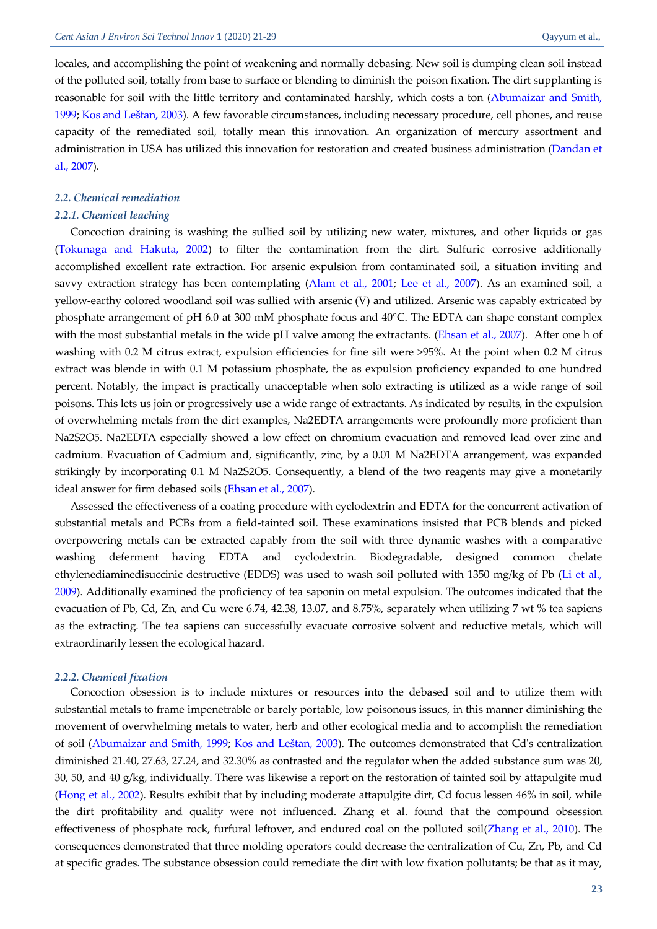locales, and accomplishing the point of weakening and normally debasing. New soil is dumping clean soil instead of the polluted soil, totally from base to surface or blending to diminish the poison fixation. The dirt supplanting is reasonable for soil with the little territory and contaminated harshly, which costs a ton [\(Abumaizar and Smith,](#page-5-5)  [1999;](#page-5-5) [Kos and Leštan, 2003](#page-6-10)). A few favorable circumstances, including necessary procedure, cell phones, and reuse capacity of the remediated soil, totally mean this innovation. An organization of mercury assortment and administration in USA has utilized this innovation for restoration and created business administration [\(Dandan et](#page-5-7)  [al., 2007\)](#page-5-7).

# *2.2. Chemical remediation*

### *2.2.1. Chemical leaching*

Concoction draining is washing the sullied soil by utilizing new water, mixtures, and other liquids or gas [\(Tokunaga and Hakuta, 2002\)](#page-7-9) to filter the contamination from the dirt. Sulfuric corrosive additionally accomplished excellent rate extraction. For arsenic expulsion from contaminated soil, a situation inviting and savvy extraction strategy has been contemplating [\(Alam et al., 2001;](#page-5-8) [Lee et al., 2007\)](#page-7-10). As an examined soil, a yellow-earthy colored woodland soil was sullied with arsenic (V) and utilized. Arsenic was capably extricated by phosphate arrangement of pH 6.0 at 300 mM phosphate focus and 40°C. The EDTA can shape constant complex with the most substantial metals in the wide pH valve among the extractants. [\(Ehsan et al., 2007\)](#page-5-9). After one h of washing with 0.2 M citrus extract, expulsion efficiencies for fine silt were >95%. At the point when 0.2 M citrus extract was blende in with 0.1 M potassium phosphate, the as expulsion proficiency expanded to one hundred percent. Notably, the impact is practically unacceptable when solo extracting is utilized as a wide range of soil poisons. This lets us join or progressively use a wide range of extractants. As indicated by results, in the expulsion of overwhelming metals from the dirt examples, Na2EDTA arrangements were profoundly more proficient than Na2S2O5. Na2EDTA especially showed a low effect on chromium evacuation and removed lead over zinc and cadmium. Evacuation of Cadmium and, significantly, zinc, by a 0.01 M Na2EDTA arrangement, was expanded strikingly by incorporating 0.1 M Na2S2O5. Consequently, a blend of the two reagents may give a monetarily ideal answer for firm debased soils [\(Ehsan et al., 2007\)](#page-5-9).

Assessed the effectiveness of a coating procedure with cyclodextrin and EDTA for the concurrent activation of substantial metals and PCBs from a field-tainted soil. These examinations insisted that PCB blends and picked overpowering metals can be extracted capably from the soil with three dynamic washes with a comparative washing deferment having EDTA and cyclodextrin. Biodegradable, designed common chelate ethylenediaminedisuccinic destructive (EDDS) was used to wash soil polluted with 1350 mg/kg of Pb (Li et al., 2009). Additionally examined the proficiency of tea saponin on metal expulsion. The outcomes indicated that the evacuation of Pb, Cd, Zn, and Cu were 6.74, 42.38, 13.07, and 8.75%, separately when utilizing 7 wt % tea sapiens as the extracting. The tea sapiens can successfully evacuate corrosive solvent and reductive metals, which will extraordinarily lessen the ecological hazard.

#### *2.2.2. Chemical fixation*

Concoction obsession is to include mixtures or resources into the debased soil and to utilize them with substantial metals to frame impenetrable or barely portable, low poisonous issues, in this manner diminishing the movement of overwhelming metals to water, herb and other ecological media and to accomplish the remediation of soil [\(Abumaizar and Smith, 1999;](#page-5-5) [Kos and Leštan, 2003](#page-6-10)). The outcomes demonstrated that Cd's centralization diminished 21.40, 27.63, 27.24, and 32.30% as contrasted and the regulator when the added substance sum was 20, 30, 50, and 40 g/kg, individually. There was likewise a report on the restoration of tainted soil by attapulgite mud [\(Hong et al., 2002\)](#page-6-11). Results exhibit that by including moderate attapulgite dirt, Cd focus lessen 46% in soil, while the dirt profitability and quality were not influenced. Zhang et al. found that the compound obsession effectiveness of phosphate rock, furfural leftover, and endured coal on the polluted soil[\(Zhang et al., 2010\)](#page-8-0). The consequences demonstrated that three molding operators could decrease the centralization of Cu, Zn, Pb, and Cd at specific grades. The substance obsession could remediate the dirt with low fixation pollutants; be that as it may,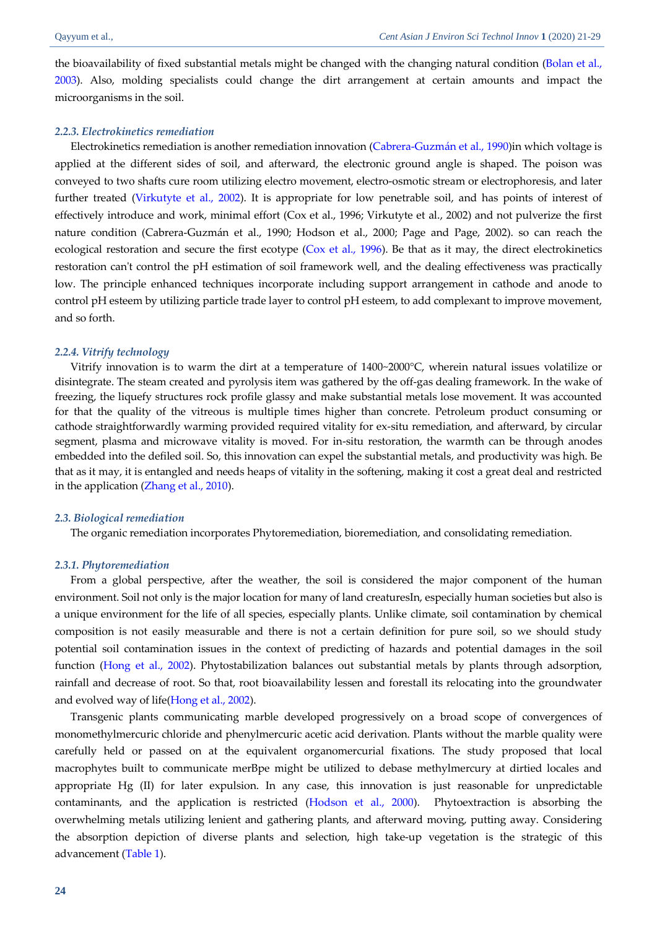the bioavailability of fixed substantial metals might be changed with the changing natural condition (Bolan et al., [2003\)](#page-5-10). Also, molding specialists could change the dirt arrangement at certain amounts and impact the microorganisms in the soil.

### *2.2.3. Electrokinetics remediation*

Electrokinetics remediation is another remediation innovation [\(Cabrera-Guzmán et al., 1990\)](#page-5-11)in which voltage is applied at the different sides of soil, and afterward, the electronic ground angle is shaped. The poison was conveyed to two shafts cure room utilizing electro movement, electro-osmotic stream or electrophoresis, and later further treated [\(Virkutyte et al., 2002\)](#page-7-11). It is appropriate for low penetrable soil, and has points of interest of effectively introduce and work, minimal effort (Cox et al., 1996; Virkutyte et al., 2002) and not pulverize the first nature condition (Cabrera-Guzmán et al., 1990; Hodson et al., 2000; Page and Page, 2002). so can reach the ecological restoration and secure the first ecotype [\(Cox et al., 1996\)](#page-5-12). Be that as it may, the direct electrokinetics restoration can't control the pH estimation of soil framework well, and the dealing effectiveness was practically low. The principle enhanced techniques incorporate including support arrangement in cathode and anode to control pH esteem by utilizing particle trade layer to control pH esteem, to add complexant to improve movement, and so forth.

#### *2.2.4. Vitrify technology*

Vitrify innovation is to warm the dirt at a temperature of 1400~2000°C, wherein natural issues volatilize or disintegrate. The steam created and pyrolysis item was gathered by the off-gas dealing framework. In the wake of freezing, the liquefy structures rock profile glassy and make substantial metals lose movement. It was accounted for that the quality of the vitreous is multiple times higher than concrete. Petroleum product consuming or cathode straightforwardly warming provided required vitality for ex-situ remediation, and afterward, by circular segment, plasma and microwave vitality is moved. For in-situ restoration, the warmth can be through anodes embedded into the defiled soil. So, this innovation can expel the substantial metals, and productivity was high. Be that as it may, it is entangled and needs heaps of vitality in the softening, making it cost a great deal and restricted in the application [\(Zhang et al., 2010\)](#page-8-0).

#### *2.3. Biological remediation*

The organic remediation incorporates Phytoremediation, bioremediation, and consolidating remediation.

#### *2.3.1. Phytoremediation*

From a global perspective, after the weather, the soil is considered the major component of the human environment. Soil not only is the major location for many of land creaturesIn, especially human societies but also is a unique environment for the life of all species, especially plants. Unlike climate, soil contamination by chemical composition is not easily measurable and there is not a certain definition for pure soil, so we should study potential soil contamination issues in the context of predicting of hazards and potential damages in the soil function [\(Hong et al., 2002\)](#page-6-11). Phytostabilization balances out substantial metals by plants through adsorption, rainfall and decrease of root. So that, root bioavailability lessen and forestall its relocating into the groundwater and evolved way of life[\(Hong et al., 2002\)](#page-6-11).

Transgenic plants communicating marble developed progressively on a broad scope of convergences of monomethylmercuric chloride and phenylmercuric acetic acid derivation. Plants without the marble quality were carefully held or passed on at the equivalent organomercurial fixations. The study proposed that local macrophytes built to communicate merBpe might be utilized to debase methylmercury at dirtied locales and appropriate Hg (II) for later expulsion. In any case, this innovation is just reasonable for unpredictable contaminants, and the application is restricted [\(Hodson et al., 2000\)](#page-6-12). Phytoextraction is absorbing the overwhelming metals utilizing lenient and gathering plants, and afterward moving, putting away. Considering the absorption depiction of diverse plants and selection, high take-up vegetation is the strategic of this advancement [\(Table 1\)](#page-4-0).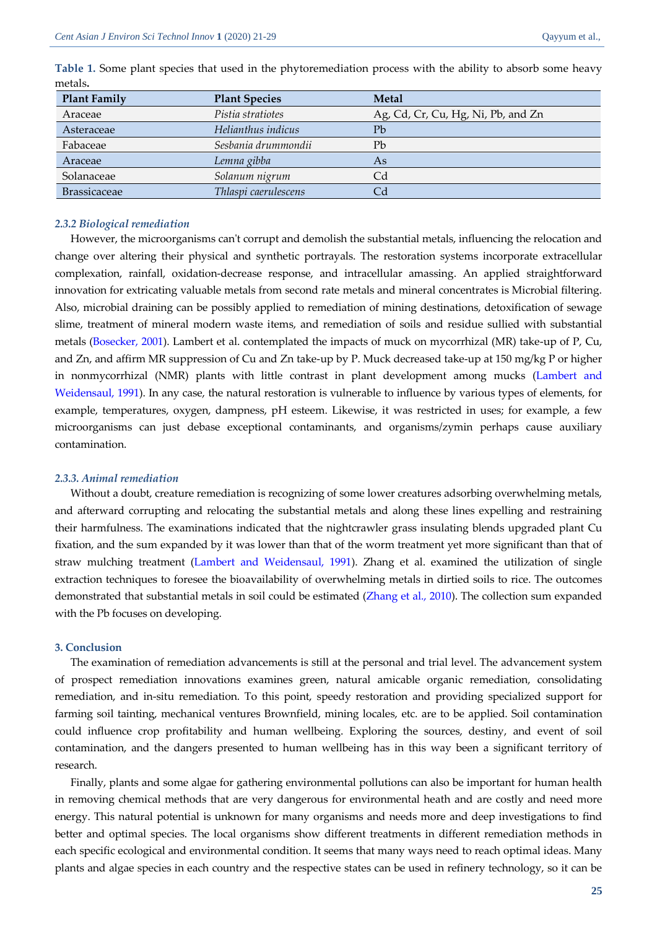| <b>Plant Family</b> | <b>Plant Species</b> | <b>Metal</b>                       |
|---------------------|----------------------|------------------------------------|
| Araceae             | Pistia stratiotes    | Ag, Cd, Cr, Cu, Hg, Ni, Pb, and Zn |
| Asteraceae          | Helianthus indicus   | Pb                                 |
| Fabaceae            | Sesbania drummondii  | Pb                                 |
| Araceae             | Lemna gibba          | As                                 |
| Solanaceae          | Solanum nigrum       | Cd                                 |
| <b>Brassicaceae</b> | Thlaspi caerulescens |                                    |

<span id="page-4-0"></span>**Table 1.** Some plant species that used in the phytoremediation process with the ability to absorb some heavy metals**.**

# *2.3.2 Biological remediation*

However, the microorganisms can't corrupt and demolish the substantial metals, influencing the relocation and change over altering their physical and synthetic portrayals. The restoration systems incorporate extracellular complexation, rainfall, oxidation-decrease response, and intracellular amassing. An applied straightforward innovation for extricating valuable metals from second rate metals and mineral concentrates is Microbial filtering. Also, microbial draining can be possibly applied to remediation of mining destinations, detoxification of sewage slime, treatment of mineral modern waste items, and remediation of soils and residue sullied with substantial metals [\(Bosecker, 2001\)](#page-5-13). Lambert et al. contemplated the impacts of muck on mycorrhizal (MR) take-up of P, Cu, and Zn, and affirm MR suppression of Cu and Zn take-up by P. Muck decreased take-up at 150 mg/kg P or higher in nonmycorrhizal (NMR) plants with little contrast in plant development among mucks [\(Lambert and](#page-7-12)  [Weidensaul,](#page-7-12) 1991). In any case, the natural restoration is vulnerable to influence by various types of elements, for example, temperatures, oxygen, dampness, pH esteem. Likewise, it was restricted in uses; for example, a few microorganisms can just debase exceptional contaminants, and organisms/zymin perhaps cause auxiliary contamination.

## *2.3.3. Animal remediation*

Without a doubt, creature remediation is recognizing of some lower creatures adsorbing overwhelming metals, and afterward corrupting and relocating the substantial metals and along these lines expelling and restraining their harmfulness. The examinations indicated that the nightcrawler grass insulating blends upgraded plant Cu fixation, and the sum expanded by it was lower than that of the worm treatment yet more significant than that of straw mulching treatment [\(Lambert and Weidensaul, 1991\)](#page-7-12). Zhang et al. examined the utilization of single extraction techniques to foresee the bioavailability of overwhelming metals in dirtied soils to rice. The outcomes demonstrated that substantial metals in soil could be estimated [\(Zhang et al.,](#page-8-0) 2010). The collection sum expanded with the Pb focuses on developing.

## **3. Conclusion**

The examination of remediation advancements is still at the personal and trial level. The advancement system of prospect remediation innovations examines green, natural amicable organic remediation, consolidating remediation, and in-situ remediation. To this point, speedy restoration and providing specialized support for farming soil tainting, mechanical ventures Brownfield, mining locales, etc. are to be applied. Soil contamination could influence crop profitability and human wellbeing. Exploring the sources, destiny, and event of soil contamination, and the dangers presented to human wellbeing has in this way been a significant territory of research.

Finally, plants and some algae for gathering environmental pollutions can also be important for human health in removing chemical methods that are very dangerous for environmental heath and are costly and need more energy. This natural potential is unknown for many organisms and needs more and deep investigations to find better and optimal species. The local organisms show different treatments in different remediation methods in each specific ecological and environmental condition. It seems that many ways need to reach optimal ideas. Many plants and algae species in each country and the respective states can be used in refinery technology, so it can be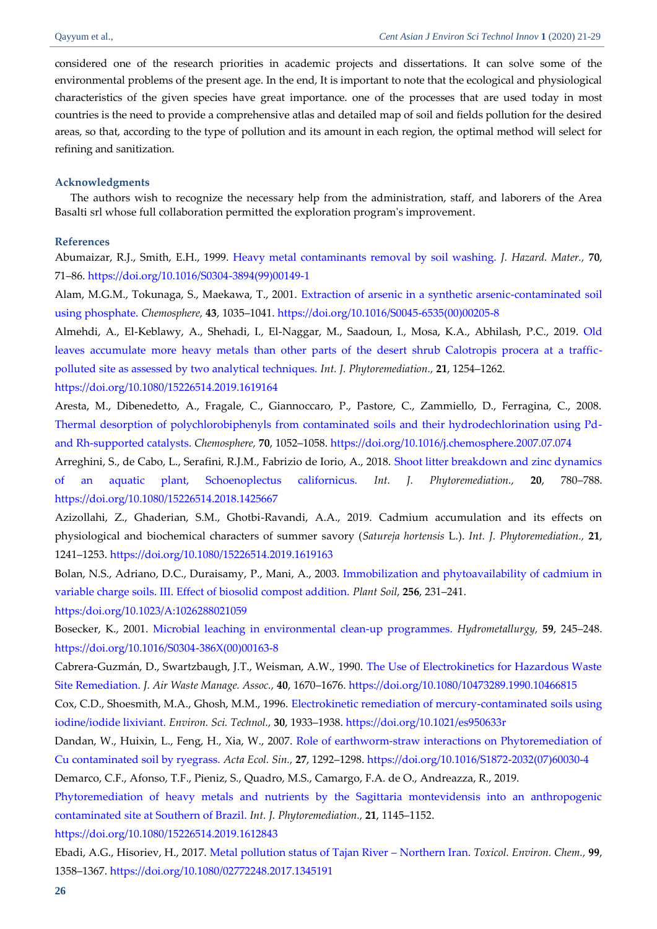considered one of the research priorities in academic projects and dissertations. It can solve some of the environmental problems of the present age. In the end, It is important to note that the ecological and physiological characteristics of the given species have great importance. one of the processes that are used today in most countries is the need to provide a comprehensive atlas and detailed map of soil and fields pollution for the desired areas, so that, according to the type of pollution and its amount in each region, the optimal method will select for refining and sanitization.

### **Acknowledgments**

The authors wish to recognize the necessary help from the administration, staff, and laborers of the Area Basalti srl whose full collaboration permitted the exploration program's improvement.

#### **References**

<span id="page-5-8"></span><span id="page-5-5"></span>Abumaizar, R.J., Smith, E.H., 1999. [Heavy metal contaminants removal by soil washing.](http://srv2.freepaper.me/n/TN2EyaauAaTIMDZrLHhELw/PDF/e5/e5d4da7772f59bf73f8f72411da05538.pdf) *J. Hazard. Mater.,* **70**, 71–86[. https://doi.org/10.1016/S0304-3894\(99\)00149-1](https://doi.org/10.1016/S0304-3894(99)00149-1)

Alam, M.G.M., Tokunaga, S., Maekawa, T., 2001. Extraction of arsenic in a synthetic arsenic-contaminated soil [using phosphate.](https://srv2.freepaper.me/n/pID6M6Y7rI41PnS5P7fN5w/PDF/db/db0eafcd1ac4d4292944b8175ad8a634.pdf) *Chemosphere,* **43**, 1035–1041[. https://doi.org/10.1016/S0045-6535\(00\)00205-8](https://doi.org/10.1016/S0045-6535(00)00205-8)

<span id="page-5-0"></span>Almehdi, A., El-Keblawy, A., Shehadi, I., El-Naggar, M., Saadoun, I., Mosa, K.A., Abhilash, P.C., 2019. [Old](https://dacemirror.sci-hub.tw/journal-article/daf66dab1491598bed025bb4600b2a7f/almehdi2019.pdf#view=FitH)  [leaves accumulate more heavy metals than other parts of the desert shrub Calotropis procera at a traffic](https://dacemirror.sci-hub.tw/journal-article/daf66dab1491598bed025bb4600b2a7f/almehdi2019.pdf#view=FitH)[polluted site as assessed by two analytical techniques.](https://dacemirror.sci-hub.tw/journal-article/daf66dab1491598bed025bb4600b2a7f/almehdi2019.pdf#view=FitH) *Int. J. Phytoremediation.,* **21**, 1254–1262.

# <https://doi.org/10.1080/15226514.2019.1619164>

<span id="page-5-6"></span>Aresta, M., Dibenedetto, A., Fragale, C., Giannoccaro, P., Pastore, C., Zammiello, D., Ferragina, C., 2008. [Thermal desorption of polychlorobiphenyls from contaminated soils and their hydrodechlorination using Pd](https://srv2.freepaper.me/n/Gkp9VZFWT-l0-0cV8kCwmQ/PDF/7e/7e7a4ba4d8f97194801267df07af85ce.pdf)[and Rh-supported catalysts.](https://srv2.freepaper.me/n/Gkp9VZFWT-l0-0cV8kCwmQ/PDF/7e/7e7a4ba4d8f97194801267df07af85ce.pdf) *Chemosphere,* **70**, 1052–1058[. https://doi.org/10.1016/j.chemosphere.2007.07.074](https://doi.org/10.1016/j.chemosphere.2007.07.074)

<span id="page-5-3"></span>Arreghini, S., de Cabo, L., Serafini, R.J.M., Fabrizio de Iorio, A., 2018. [Shoot litter breakdown and zinc dynamics](http://freepaper.me/PDF/?pdfURL=aHR0cHM6Ly9jeWJlci5zY2ktaHViLnR3L01UQXVNVEE0TUM4eE5USXlOalV4TkM0eU1ERTRMakUwTWpVMk5qYz0vYXJyZWdoaW5pMjAxOC5wZGYjdmlldz1GaXRI&doi=10.1080/15226514.2018.1425667)  [of an aquatic plant, Schoenoplectus californicus.](http://freepaper.me/PDF/?pdfURL=aHR0cHM6Ly9jeWJlci5zY2ktaHViLnR3L01UQXVNVEE0TUM4eE5USXlOalV4TkM0eU1ERTRMakUwTWpVMk5qYz0vYXJyZWdoaW5pMjAxOC5wZGYjdmlldz1GaXRI&doi=10.1080/15226514.2018.1425667) *Int. J. Phytoremediation.,* **20**, 780–788. <https://doi.org/10.1080/15226514.2018.1425667>

<span id="page-5-1"></span>Azizollahi, Z., Ghaderian, S.M., Ghotbi-Ravandi, A.A., 2019. Cadmium accumulation and its effects on physiological and biochemical characters of summer savory (*Satureja hortensis* L.). *Int. J. Phytoremediation.,* **21**, 1241–1253[. https://doi.org/10.1080/15226514.2019.1619163](https://doi.org/10.1080/15226514.2019.1619163)

<span id="page-5-10"></span>Bolan, N.S., Adriano, D.C., Duraisamy, P., Mani, A., 2003. [Immobilization and phytoavailability of cadmium in](http://zero.sci-hub.tw/1108/57cc9ebf82d8ffb85f54b8df31e4394c/bolan2003.pdf#view=FitH)  [variable charge soils. III. Effect of biosolid compost addition.](http://zero.sci-hub.tw/1108/57cc9ebf82d8ffb85f54b8df31e4394c/bolan2003.pdf#view=FitH) *Plant Soil,* **256**, 231–241.

[https:/doi.org/10.1023/A:1026288021059](https://doi.org/10.1023/A:1026288021059)

<span id="page-5-13"></span><span id="page-5-11"></span>Bosecker, K., 2001. [Microbial leaching in environmental clean-up programmes.](https://srv2.freepaper.me/n/e4nw5ChzcCFumw7SvbXuNw/PDF/b3/b3c5cc3fc66510c2e3d3a0f48b313172.pdf) *Hydrometallurgy,* **59**, 245–248. [https://doi.org/10.1016/S0304-386X\(00\)00163-8](https://doi.org/10.1016/S0304-386X(00)00163-8)

Cabrera-Guzmán, D., Swartzbaugh, J.T., Weisman, A.W., 1990. [The Use of Electrokinetics for Hazardous Waste](https://www.tandfonline.com/doi/pdf/10.1080/10473289.1990.10466815?needAccess=true)  [Site Remediation.](https://www.tandfonline.com/doi/pdf/10.1080/10473289.1990.10466815?needAccess=true) *J. Air Waste Manage. Assoc.,* **40**, 1670–1676.<https://doi.org/10.1080/10473289.1990.10466815>

<span id="page-5-12"></span>Cox, C.D., Shoesmith, M.A., Ghosh, M.M., 1996. [Electrokinetic remediation of mercury-contaminated soils using](https://srv2.freepaper.me/n/qGYwVa9uBuAZUAgtZGmg8g/PDF/9a/9a413de85b4fd7a0b4bb64ddccfc0c00.pdf)  [iodine/iodide lixiviant.](https://srv2.freepaper.me/n/qGYwVa9uBuAZUAgtZGmg8g/PDF/9a/9a413de85b4fd7a0b4bb64ddccfc0c00.pdf) *Environ. Sci. Technol.,* **30**, 1933–1938[. https://doi.org/10.1021/es950633r](https://doi.org/10.1021/es950633r)

<span id="page-5-7"></span>Dandan, W., Huixin, L., Feng, H., Xia, W., 2007. [Role of earthworm-straw interactions on Phytoremediation of](https://freepaper.me/d/PDF/1b/1b66d60894524c96e0a1e7f059d73d14.pdf?hash=QzkoqHa5jRNdA9b6wD64Yw&doi=10.1016/S1872-2032(07)60030-4&title=&save=1%20%20%20%20%20%20%20%20%20%20%20%20%20%20%20%20style=)  [Cu contaminated soil by ryegrass.](https://freepaper.me/d/PDF/1b/1b66d60894524c96e0a1e7f059d73d14.pdf?hash=QzkoqHa5jRNdA9b6wD64Yw&doi=10.1016/S1872-2032(07)60030-4&title=&save=1%20%20%20%20%20%20%20%20%20%20%20%20%20%20%20%20style=) *Acta Ecol. Sin.,* **27**, 1292–1298[. https://doi.org/10.1016/S1872-2032\(07\)60030-4](https://doi.org/10.1016/S1872-2032(07)60030-4)

<span id="page-5-2"></span>Demarco, C.F., Afonso, T.F., Pieniz, S., Quadro, M.S., Camargo, F.A. de O., Andreazza, R., 2019.

<span id="page-5-4"></span>[Phytoremediation of heavy metals and nutrients by the Sagittaria montevidensis into an anthropogenic](http://freepaper.me/PDF/?pdfURL=aHR0cDovL2RhY2VtaXJyb3Iuc2NpLWh1Yi50dy9qb3VybmFsLWFydGljbGUvNDIzOTZkMDFhY2FhNmFmNzZmMzY2OTIwZjAzNjc1ZWMvZGVtYXJjbzIwMTkucGRmI3ZpZXc9Rml0SA==&doi=10.1080/15226514.2019.1612843)  [contaminated site at Southern of Brazil.](http://freepaper.me/PDF/?pdfURL=aHR0cDovL2RhY2VtaXJyb3Iuc2NpLWh1Yi50dy9qb3VybmFsLWFydGljbGUvNDIzOTZkMDFhY2FhNmFmNzZmMzY2OTIwZjAzNjc1ZWMvZGVtYXJjbzIwMTkucGRmI3ZpZXc9Rml0SA==&doi=10.1080/15226514.2019.1612843) *Int. J. Phytoremediation.,* **21**, 1145–1152.

<https://doi.org/10.1080/15226514.2019.1612843>

<span id="page-5-9"></span>Ebadi, A.G., Hisoriev, H., 2017. [Metal pollution status of Tajan River](http://freepaper.me/PDF/?pdfURL=aHR0cHM6Ly9mcmVlcGFwZXIubWUvbi9zNm9hNml3OTVVT2ZZdjV3b18yREpnL1BERi8yZC8yZDc3MjExYjE3YzM5NTA1NDQzNGUyZDNlZjMzMjZjYS5wZGY=&doi=10.1080/02772248.2017.1345191) – Northern Iran. *Toxicol. Environ. Chem.,* **99**, 1358–1367[. https://doi.org/10.1080/02772248.2017.1345191](https://doi.org/10.1080/02772248.2017.1345191)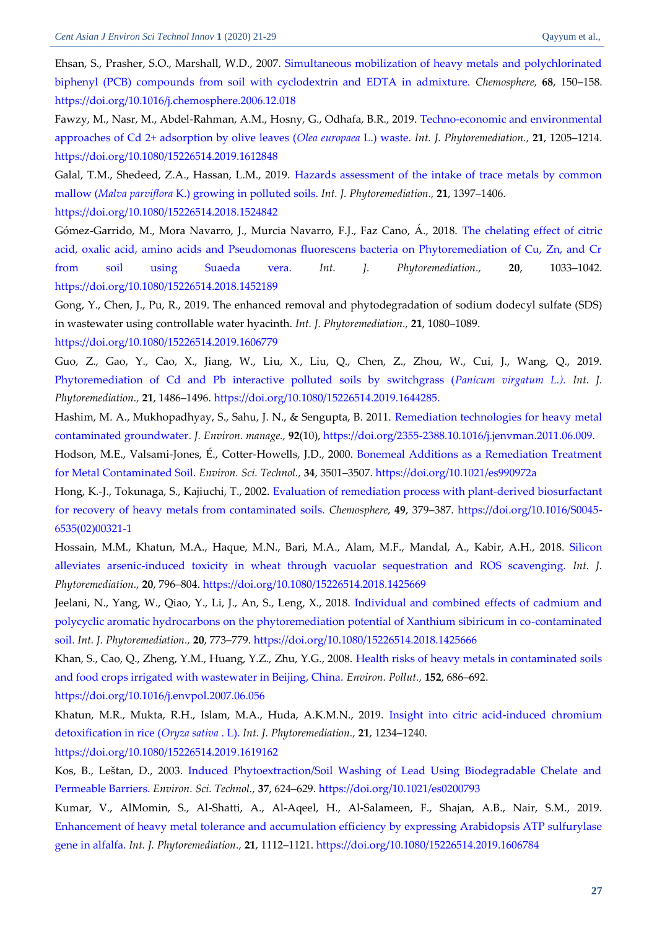Ehsan, S., Prasher, S.O., Marshall, W.D., 2007. [Simultaneous mobilization of heavy metals](https://srv2.freepaper.me/n/cbNCmg2FUCB8av2IVt95PA/PDF/4a/4a7c02b8ba758912f8965d674159079b.pdf) and polychlorinated [biphenyl \(PCB\) compounds from soil with cyclodextrin and EDTA in admixture.](https://srv2.freepaper.me/n/cbNCmg2FUCB8av2IVt95PA/PDF/4a/4a7c02b8ba758912f8965d674159079b.pdf) *Chemosphere,* **68**, 150–158. <https://doi.org/10.1016/j.chemosphere.2006.12.018>

<span id="page-6-0"></span>Fawzy, M., Nasr, M., Abdel-Rahman, A.M., Hosny, G., Odhafa, B.R., 2019[. Techno-economic and environmental](http://freepaper.me/PDF/?pdfURL=aHR0cDovL2RhY2VtaXJyb3Iuc2NpLWh1Yi50dy9qb3VybmFsLWFydGljbGUvNTkxMGQwMDE1YTI5MGZkOTYzZjM0NDM3NTMxYTJiZWYvZmF3enkyMDE5LnBkZiN2aWV3PUZpdEg=&doi=10.1080/15226514.2019.1612848)  [approaches of Cd 2+ adsorption by olive leaves \(](http://freepaper.me/PDF/?pdfURL=aHR0cDovL2RhY2VtaXJyb3Iuc2NpLWh1Yi50dy9qb3VybmFsLWFydGljbGUvNTkxMGQwMDE1YTI5MGZkOTYzZjM0NDM3NTMxYTJiZWYvZmF3enkyMDE5LnBkZiN2aWV3PUZpdEg=&doi=10.1080/15226514.2019.1612848)*Olea europaea* L.) waste. *Int. J. Phytoremediation.,* **21**, 1205–1214. <https://doi.org/10.1080/15226514.2019.1612848>

<span id="page-6-9"></span>Galal, T.M., Shedeed, Z.A., Hassan, L.M., 2019. [Hazards assessment of the intake of trace metals by common](https://freepaper.me/PDF/3a/3a5883cc17613247b3635a28fa42fcb0.pdf?hash=MxfYwjjvkBTDo58o24Ir4Q&doi=10.1080/15226514.2018.1524842&hash2=AmaIw8Cn1ZdEx2Q6huIc_Q)  mallow (*Malva parviflora* [K.\) growing in polluted soils.](https://freepaper.me/PDF/3a/3a5883cc17613247b3635a28fa42fcb0.pdf?hash=MxfYwjjvkBTDo58o24Ir4Q&doi=10.1080/15226514.2018.1524842&hash2=AmaIw8Cn1ZdEx2Q6huIc_Q) *Int. J. Phytoremediation.,* **21**, 1397–1406. <https://doi.org/10.1080/15226514.2018.1524842>

<span id="page-6-4"></span>Gómez-Garrido, M., Mora Navarro, J., Murcia Navarro, F.J., Faz Cano, Á., 2018. [The chelating effect of citric](http://freepaper.me/PDF/?pdfURL=aHR0cHM6Ly90d2luLnNjaS1odWIudHcvNzA1OC9kYjU5MWJhZWM3MDQ2YmE4OTYwMzhjNjYzYzMzODUwZC8xMC4xMDgwQDE1MjI2NTE0LjIwMTguMTQ1MjE4OS5wZGYjdmlldz1GaXRI&doi=10.1080/15226514.2018.1452189)  [acid, oxalic acid, amino acids and Pseudomonas fluorescens bacteria on Phytoremediation of Cu, Zn, and Cr](http://freepaper.me/PDF/?pdfURL=aHR0cHM6Ly90d2luLnNjaS1odWIudHcvNzA1OC9kYjU5MWJhZWM3MDQ2YmE4OTYwMzhjNjYzYzMzODUwZC8xMC4xMDgwQDE1MjI2NTE0LjIwMTguMTQ1MjE4OS5wZGYjdmlldz1GaXRI&doi=10.1080/15226514.2018.1452189)  [from soil using](http://freepaper.me/PDF/?pdfURL=aHR0cHM6Ly90d2luLnNjaS1odWIudHcvNzA1OC9kYjU5MWJhZWM3MDQ2YmE4OTYwMzhjNjYzYzMzODUwZC8xMC4xMDgwQDE1MjI2NTE0LjIwMTguMTQ1MjE4OS5wZGYjdmlldz1GaXRI&doi=10.1080/15226514.2018.1452189) Suaeda vera. *Int. J. Phytoremediation.,* **20**, 1033–1042. <https://doi.org/10.1080/15226514.2018.1452189>

<span id="page-6-3"></span>Gong, Y., Chen, J., Pu, R., 2019. The enhanced removal and phytodegradation of sodium dodecyl sulfate (SDS) in wastewater using controllable water hyacinth. *Int. J. Phytoremediation.,* **21**, 1080–1089.

<https://doi.org/10.1080/15226514.2019.1606779>

<span id="page-6-5"></span>Guo, Z., Gao, Y., Cao, X., Jiang, W., Liu, X., Liu, Q., Chen, Z., Zhou, W., Cui, J., Wang, Q., 2019. [Phytoremediation of Cd and Pb interactive polluted soils by switchgrass \(](http://freepaper.me/PDF/?pdfURL=aHR0cDovL2RhY2VtaXJyb3Iuc2NpLWh1Yi50dy9qb3VybmFsLWFydGljbGUvMWY4NjI5MDNjMWFmNmQ5MjQxZGQ4ZDAzMTAwNzNiMzcvZ3VvMjAxOS5wZGYjdmlldz1GaXRI&doi=10.1080/15226514.2019.1644285)*Panicum virgatum L.). Int. J. Phytoremediation.,* **21**, 1486–1496. [https://doi.org/10.1080/15226514.2019.1644285.](https://doi.org/10.1080/15226514.2019.1644285)

<span id="page-6-12"></span>Hashim, M. A., Mukhopadhyay, S., Sahu, J. N., & Sengupta, B. 2011. Remediation technologies for heavy metal contaminated groundwater. *J. Environ. manage.,* **92**(10), https://doi.org/2355-238[8.10.1016/j.jenvman.2011.06.009.](https://doi.org/10.1016/j.jenvman.2011.06.009)

Hodson, M.E., Valsami-Jones, É., Cotter-Howells, J.D., 2000. [Bonemeal Additions as a Remediation Treatment](http://zero.sci-hub.tw/2683/9ad582812c21e14778a25f733f861c1d/hodson2000.pdf#view=FitH)  [for Metal Contaminated Soil.](http://zero.sci-hub.tw/2683/9ad582812c21e14778a25f733f861c1d/hodson2000.pdf#view=FitH) *Environ. Sci. Technol.,* **34**, 3501–3507.<https://doi.org/10.1021/es990972a>

<span id="page-6-11"></span>Hong, K.-J., Tokunaga, S., Kajiuchi, T., 2002. Evaluation of remediation process with plant-derived biosurfactant [for recovery of heavy metals from contaminated soils.](https://srv2.freepaper.me/n/b19lurI-cFxdiBBconhzJA/PDF/10/1032542edadd5eccd622f9bfe41d1bdd.pdf) *Chemosphere,* **49**, 379–387. [https://doi.org/10.1016/S0045-](https://doi.org/10.1016/S0045-6535(02)00321-1) [6535\(02\)00321-1](https://doi.org/10.1016/S0045-6535(02)00321-1)

<span id="page-6-7"></span><span id="page-6-6"></span>Hossain, M.M., Khatun, M.A., Haque, M.N., Bari, M.A., Alam, M.F., Mandal, A., Kabir, A.H., 2018. [Silicon](http://freepaper.me/PDF/?pdfURL=aHR0cHM6Ly90d2luLnNjaS1odWIudHcvNjk2MC83YjRmOGMwOGE4YjhjN2UwMDZjZjdkYjczMjMyMzU1NS9ob3NzYWluMjAxOC5wZGYjdmlldz1GaXRI&doi=10.1080/15226514.2018.1425669)  [alleviates arsenic-induced toxicity in wheat through vacuolar sequestration and ROS scavenging.](http://freepaper.me/PDF/?pdfURL=aHR0cHM6Ly90d2luLnNjaS1odWIudHcvNjk2MC83YjRmOGMwOGE4YjhjN2UwMDZjZjdkYjczMjMyMzU1NS9ob3NzYWluMjAxOC5wZGYjdmlldz1GaXRI&doi=10.1080/15226514.2018.1425669) *Int. J. Phytoremediation.,* **20**, 796–804.<https://doi.org/10.1080/15226514.2018.1425669>

Jeelani, N., Yang, W., Qiao, Y., Li, J., An, S., Leng, X., 2018. [Individual and combined](http://freepaper.me/PDF/?pdfURL=aHR0cHM6Ly90d2luLnNjaS1odWIudHcvNjg3NS84MzNmNzIxZTkwY2FkYjcyNjMzMDhlNjczZjY3ZDQ4Yy9qZWVsYW5pMjAxOC5wZGYjdmlldz1GaXRI&doi=10.1080/15226514.2018.1425666) effects of cadmium and [polycyclic aromatic hydrocarbons on the phytoremediation potential of Xanthium sibiricum in co-contaminated](http://freepaper.me/PDF/?pdfURL=aHR0cHM6Ly90d2luLnNjaS1odWIudHcvNjg3NS84MzNmNzIxZTkwY2FkYjcyNjMzMDhlNjczZjY3ZDQ4Yy9qZWVsYW5pMjAxOC5wZGYjdmlldz1GaXRI&doi=10.1080/15226514.2018.1425666)  [soil.](http://freepaper.me/PDF/?pdfURL=aHR0cHM6Ly90d2luLnNjaS1odWIudHcvNjg3NS84MzNmNzIxZTkwY2FkYjcyNjMzMDhlNjczZjY3ZDQ4Yy9qZWVsYW5pMjAxOC5wZGYjdmlldz1GaXRI&doi=10.1080/15226514.2018.1425666) *Int. J. Phytoremediation.,* **20**, 773–779.<https://doi.org/10.1080/15226514.2018.1425666>

<span id="page-6-8"></span>Khan, S., Cao, Q., Zheng, Y.M., Huang, Y.Z., Zhu, Y.G., 2008. [Health risks of heavy metals in contaminated soils](https://srv2.freepaper.me/n/lmEiDLfafOZ0IFlMNApgYg/PDF/de/de5cf99182a6137f24995b17ca8f2bff.pdf)  [and food crops irrigated with wastewater in Beijing, China.](https://srv2.freepaper.me/n/lmEiDLfafOZ0IFlMNApgYg/PDF/de/de5cf99182a6137f24995b17ca8f2bff.pdf) *Environ. Pollut.,* **152**, 686–692.

<https://doi.org/10.1016/j.envpol.2007.06.056>

<span id="page-6-1"></span>Khatun, M.R., Mukta, R.H., Islam, M.A., Huda, A.K.M.N., 2019. [Insight into citric acid-induced chromium](http://freepaper.me/PDF/?pdfURL=aHR0cDovL2RhY2VtaXJyb3Iuc2NpLWh1Yi50dy9qb3VybmFsLWFydGljbGUvNjFhOGUyYjYzMmNkMGQ4MGNmMjE1ZGMyNGI4ZDQxOTIva2hhdHVuMjAxOS5wZGYjdmlldz1GaXRI&doi=10.1080/15226514.2019.1619162)  [detoxification in rice \(](http://freepaper.me/PDF/?pdfURL=aHR0cDovL2RhY2VtaXJyb3Iuc2NpLWh1Yi50dy9qb3VybmFsLWFydGljbGUvNjFhOGUyYjYzMmNkMGQ4MGNmMjE1ZGMyNGI4ZDQxOTIva2hhdHVuMjAxOS5wZGYjdmlldz1GaXRI&doi=10.1080/15226514.2019.1619162)*Oryza sativa* . L). *Int. J. Phytoremediation.,* **21**, 1234–1240. <https://doi.org/10.1080/15226514.2019.1619162>

<span id="page-6-10"></span>Kos, B., Leštan, D., 2003. [Induced Phytoextraction/Soil Washing of Lead Using Biodegradable Chelate and](https://dacemirror.sci-hub.tw/journal-article/579f3d7d05f4fa6c9a1238177c9b9dfe/kos2003.pdf#view=FitH)  [Permeable Barriers.](https://dacemirror.sci-hub.tw/journal-article/579f3d7d05f4fa6c9a1238177c9b9dfe/kos2003.pdf#view=FitH) *Environ. Sci. Technol.,* **37**, 624–629.<https://doi.org/10.1021/es0200793>

<span id="page-6-2"></span>Kumar, V., AlMomin, S., Al-Shatti, A., Al-Aqeel, H., Al-Salameen, F., Shajan, A.B., Nair, S.M., 2019. [Enhancement of heavy metal tolerance and accumulation efficiency by expressing Arabidopsis ATP sulfurylase](http://freepaper.me/PDF/?pdfURL=aHR0cDovL2RhY2VtaXJyb3Iuc2NpLWh1Yi50dy9qb3VybmFsLWFydGljbGUvZjZhMTcwOTk1MzYzZWIwYjZiYWIwMmRiZjA1ZTUwMmYva3VtYXIyMDE5LnBkZiN2aWV3PUZpdEg=&doi=10.1080/15226514.2019.1606784)  [gene in alfalfa.](http://freepaper.me/PDF/?pdfURL=aHR0cDovL2RhY2VtaXJyb3Iuc2NpLWh1Yi50dy9qb3VybmFsLWFydGljbGUvZjZhMTcwOTk1MzYzZWIwYjZiYWIwMmRiZjA1ZTUwMmYva3VtYXIyMDE5LnBkZiN2aWV3PUZpdEg=&doi=10.1080/15226514.2019.1606784) *Int. J. Phytoremediation.,* **21**, 1112–1121[. https://doi.org/10.1080/15226514.2019.1606784](https://doi.org/10.1080/15226514.2019.1606784)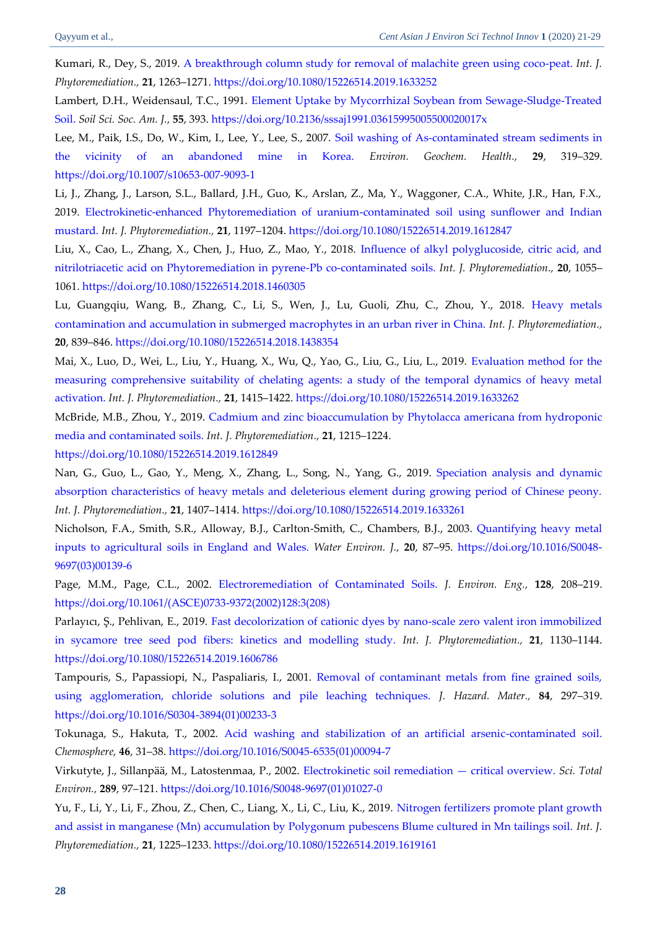<span id="page-7-12"></span>Kumari, R., Dey, S., 2019. [A breakthrough column study for removal of malachite green using coco-peat.](http://freepaper.me/PDF/?pdfURL=aHR0cDovL2RhY2VtaXJyb3Iuc2NpLWh1Yi50dy9qb3VybmFsLWFydGljbGUvNmUyMjJlNWExNTc2NGY5MGMzZDUwZDU3OWQ3MmUwYWYva3VtYXJpMjAxOS5wZGYjdmlldz1GaXRI&doi=10.1080/15226514.2019.1633252) *Int. J. Phytoremediation.,* **21**, 1263–1271.<https://doi.org/10.1080/15226514.2019.1633252>

Lambert, D.H., Weidensaul, T.C., 1991. [Element Uptake by Mycorrhizal Soybean from Sewage-Sludge-Treated](https://dl.sciencesocieties.org/publications/sssaj/pdfs/55/2/SS0550020393)  [Soil.](https://dl.sciencesocieties.org/publications/sssaj/pdfs/55/2/SS0550020393) *Soil Sci. Soc. Am. J.,* **55**, 393[. https://doi.org/10.2136/sssaj1991.03615995005500020017x](https://dl.sciencesocieties.org/publications/sssaj/abstracts/55/2/SS0550020393)

<span id="page-7-10"></span>Lee, M., Paik, I.S., Do, W., Kim, I., Lee, Y., Lee, S., 2007. [Soil washing of As-contaminated stream sediments in](http://zero.sci-hub.tw/781/aa9abb73d3ec67fc81bf0a3cd1ec6c16/lee2007.pdf#view=FitH)  [the vicinity of an abandoned mine in Korea.](http://zero.sci-hub.tw/781/aa9abb73d3ec67fc81bf0a3cd1ec6c16/lee2007.pdf#view=FitH) *Environ. Geochem. Health.,* **29**, 319–329. <https://doi.org/10.1007/s10653-007-9093-1>

Li, J., Zhang, J., Larson, S.L., Ballard, J.H., Guo, K., Arslan, Z., Ma, Y., Waggoner, C.A., White, J.R., Han, F.X., 2019. [Electrokinetic-enhanced Phytoremediation of uranium-contaminated soil using sunflower and Indian](https://dacemirror.sci-hub.tw/journal-article/750d6c8c593f938076241e5969f7fcce/li2019.pdf#view=FitH)  [mustard.](https://dacemirror.sci-hub.tw/journal-article/750d6c8c593f938076241e5969f7fcce/li2019.pdf#view=FitH) *Int. J. Phytoremediation.,* **21**, 1197–1204.<https://doi.org/10.1080/15226514.2019.1612847>

<span id="page-7-4"></span><span id="page-7-3"></span>Liu, X., Cao, L., Zhang, X., Chen, J., Huo, Z., Mao, Y., 2018. [Influence of alkyl polyglucoside, citric acid, and](http://freepaper.me/PDF/?pdfURL=aHR0cHM6Ly90d2luLnNjaS1odWIudHcvNzA1OC80NTQ4OGFiODkwNmNlOGYyZjcwZWQzNzU3NjBmMDVkZS9saXUyMDE4LnBkZiN2aWV3PUZpdEg=&doi=10.1080/15226514.2018.1460305)  [nitrilotriacetic acid on Phytoremediation in pyrene-Pb co-contaminated soils.](http://freepaper.me/PDF/?pdfURL=aHR0cHM6Ly90d2luLnNjaS1odWIudHcvNzA1OC80NTQ4OGFiODkwNmNlOGYyZjcwZWQzNzU3NjBmMDVkZS9saXUyMDE4LnBkZiN2aWV3PUZpdEg=&doi=10.1080/15226514.2018.1460305) *Int. J. Phytoremediation.,* **20**, 1055– 1061. <https://doi.org/10.1080/15226514.2018.1460305>

Lu, Guangqiu, Wang, B., Zhang, C., Li, S., Wen, J., Lu, Guoli, Zhu, C., Zhou, Y., 2018. [Heavy metals](http://freepaper.me/PDF/?pdfURL=aHR0cHM6Ly9jeWJlci5zY2ktaHViLnR3L01UQXVNVEE0TUM4eE5USXlOalV4TkM0eU1ERTRMakUwTXpnek5UUT0vbHUyMDE4LnBkZiN2aWV3PUZpdEg=&doi=10.1080/15226514.2018.1438354)  [contamination and accumulation in submerged macrophytes in an urban river in China.](http://freepaper.me/PDF/?pdfURL=aHR0cHM6Ly9jeWJlci5zY2ktaHViLnR3L01UQXVNVEE0TUM4eE5USXlOalV4TkM0eU1ERTRMakUwTXpnek5UUT0vbHUyMDE4LnBkZiN2aWV3PUZpdEg=&doi=10.1080/15226514.2018.1438354) *Int. J. Phytoremediation.,* **20**, 839–846[. https://doi.org/10.1080/15226514.2018.1438354](https://doi.org/10.1080/15226514.2018.1438354)

<span id="page-7-7"></span>Mai, X., Luo, D., Wei, L., Liu, Y., Huang, X., Wu, Q., Yao, G., Liu, G., Liu, L., 2019. [Evaluation method for the](http://freepaper.me/PDF/?pdfURL=aHR0cDovL2RhY2VtaXJyb3Iuc2NpLWh1Yi50dy9qb3VybmFsLWFydGljbGUvMTI2YThjMmFjMDQ4NTU5OWUwMWU0ZjQyNmE5OTM1NTQvbWFpMjAxOS5wZGYjdmlldz1GaXRI&doi=10.1080/15226514.2019.1633262)  [measuring comprehensive suitability of chelating agents: a study of the temporal dynamics of heavy metal](http://freepaper.me/PDF/?pdfURL=aHR0cDovL2RhY2VtaXJyb3Iuc2NpLWh1Yi50dy9qb3VybmFsLWFydGljbGUvMTI2YThjMmFjMDQ4NTU5OWUwMWU0ZjQyNmE5OTM1NTQvbWFpMjAxOS5wZGYjdmlldz1GaXRI&doi=10.1080/15226514.2019.1633262)  [activation.](http://freepaper.me/PDF/?pdfURL=aHR0cDovL2RhY2VtaXJyb3Iuc2NpLWh1Yi50dy9qb3VybmFsLWFydGljbGUvMTI2YThjMmFjMDQ4NTU5OWUwMWU0ZjQyNmE5OTM1NTQvbWFpMjAxOS5wZGYjdmlldz1GaXRI&doi=10.1080/15226514.2019.1633262) *Int. J. Phytoremediation.,* **21**, 1415–1422. <https://doi.org/10.1080/15226514.2019.1633262>

<span id="page-7-0"></span>McBride, M.B., Zhou, Y., 2019. [Cadmium and zinc bioaccumulation by Phytolacca americana from hydroponic](http://freepaper.me/PDF/?pdfURL=aHR0cDovL2RhY2VtaXJyb3Iuc2NpLWh1Yi50dy9qb3VybmFsLWFydGljbGUvMjMzNzM3MGFiZTM1ZDQxZTA4ZmFmZTEyYmMwN2JmNTUvbWNicmlkZTIwMTkucGRmI3ZpZXc9Rml0SA==&doi=10.1080/15226514.2019.1612849)  [media and contaminated soils.](http://freepaper.me/PDF/?pdfURL=aHR0cDovL2RhY2VtaXJyb3Iuc2NpLWh1Yi50dy9qb3VybmFsLWFydGljbGUvMjMzNzM3MGFiZTM1ZDQxZTA4ZmFmZTEyYmMwN2JmNTUvbWNicmlkZTIwMTkucGRmI3ZpZXc9Rml0SA==&doi=10.1080/15226514.2019.1612849) *Int. J. Phytoremediation.,* **21**, 1215–1224.

<https://doi.org/10.1080/15226514.2019.1612849>

<span id="page-7-8"></span>Nan, G., Guo, L., Gao, Y., Meng, X., Zhang, L., Song, N., Yang, G., 2019. [Speciation analysis and dynamic](http://freepaper.me/PDF/?pdfURL=aHR0cDovL2RhY2VtaXJyb3Iuc2NpLWh1Yi50dy9qb3VybmFsLWFydGljbGUvYWQ0MmU5YmRkZjlkYjNmNmFiOTc0OTRjNGJjY2NiMjcvbmFuMjAxOS5wZGYjdmlldz1GaXRI&doi=10.1080/15226514.2019.1633261)  [absorption characteristics of heavy metals and deleterious element during growing period of Chinese peony.](http://freepaper.me/PDF/?pdfURL=aHR0cDovL2RhY2VtaXJyb3Iuc2NpLWh1Yi50dy9qb3VybmFsLWFydGljbGUvYWQ0MmU5YmRkZjlkYjNmNmFiOTc0OTRjNGJjY2NiMjcvbmFuMjAxOS5wZGYjdmlldz1GaXRI&doi=10.1080/15226514.2019.1633261) *Int. J. Phytoremediation.,* **21**, 1407–1414. <https://doi.org/10.1080/15226514.2019.1633261>

Nicholson, F.A., Smith, S.R., Alloway, B.J., Carlton-Smith, C., Chambers, B.J., 2003. [Quantifying heavy metal](https://srv2.freepaper.me/n/boruLrh9Ljcc4582J1SonA/PDF/ee/ee73fd782e91c083e44061b171a69a93.pdf)  [inputs to agricultural soils in England and Wales.](https://srv2.freepaper.me/n/boruLrh9Ljcc4582J1SonA/PDF/ee/ee73fd782e91c083e44061b171a69a93.pdf) *Water Environ. J.,* **20**, 87–95. [https://doi.org/10.1016/S0048-](https://doi.org/10.1016/S0048-9697(03)00139-6) [9697\(03\)00139-6](https://doi.org/10.1016/S0048-9697(03)00139-6)

Page, M.M., Page, C.L., 2002. [Electroremediation of Contaminated Soils.](https://ascelibrary.org/doi/pdf/10.1061/%28ASCE%290733-9372%282002%29128%3A3%28208%29) *J. Environ. Eng.,* **128**, 208–219. [https://doi.org/10.1061/\(ASCE\)0733-9372\(2002\)128:3\(208\)](https://doi.org/10.1061/(ASCE)0733-9372(2002)128:3(208))

<span id="page-7-2"></span>Parlayıcı, Ş., Pehlivan, E., 2019. [Fast decolorization of cationic dyes by nano-scale zero valent iron immobilized](http://freepaper.me/PDF/?pdfURL=aHR0cDovL2RhY2VtaXJyb3Iuc2NpLWh1Yi50dy9qb3VybmFsLWFydGljbGUvOTA1Nzg4NmQ2ZDczNzcwZDJiMTQ1YWMxNjg0ODU1NmEvMTAuMTA4MEAxNTIyNjUxNC4yMDE5LjE2MDY3ODYucGRmI3ZpZXc9Rml0SA==&doi=10.1080/15226514.2019.1606786)  [in sycamore tree seed pod fibers: kinetics and modelling study.](http://freepaper.me/PDF/?pdfURL=aHR0cDovL2RhY2VtaXJyb3Iuc2NpLWh1Yi50dy9qb3VybmFsLWFydGljbGUvOTA1Nzg4NmQ2ZDczNzcwZDJiMTQ1YWMxNjg0ODU1NmEvMTAuMTA4MEAxNTIyNjUxNC4yMDE5LjE2MDY3ODYucGRmI3ZpZXc9Rml0SA==&doi=10.1080/15226514.2019.1606786) *Int. J. Phytoremediation.,* **21**, 1130–1144. <https://doi.org/10.1080/15226514.2019.1606786>

<span id="page-7-5"></span>Tampouris, S., Papassiopi, N., Paspaliaris, I., 2001. [Removal of contaminant metals from fine grained soils,](https://freepaper.me/d/PDF/81/81034c56a16e9973c1405a88ca3064a2.pdf?hash=8-zdoEF-KqL13KY_QhAwyQ&doi=10.1016/S0304-3894(01)00233-3&title=&save=1%20%20%20%20%20%20%20%20%20%20%20%20%20%20%20%20style=)  [using agglomeration, chloride solutions and pile leaching techniques.](https://freepaper.me/d/PDF/81/81034c56a16e9973c1405a88ca3064a2.pdf?hash=8-zdoEF-KqL13KY_QhAwyQ&doi=10.1016/S0304-3894(01)00233-3&title=&save=1%20%20%20%20%20%20%20%20%20%20%20%20%20%20%20%20style=) *J. Hazard. Mater.,* **84**, 297–319. [https://doi.org/10.1016/S0304-3894\(01\)00233-3](https://doi.org/10.1016/S0304-3894(01)00233-3)

<span id="page-7-11"></span><span id="page-7-9"></span>Tokunaga, S., Hakuta, T., 2002. [Acid washing and stabilization of an artificial arsenic-contaminated soil.](https://srv2.freepaper.me/n/x9IwIiaDhnKmAjDwIJKqNA/PDF/f4/f478d7a18f17be63b21a36900f736399.pdf) *Chemosphere,* **46**, 31–38. [https://doi.org/10.1016/S0045-6535\(01\)00094-7](https://doi.org/10.1016/S0045-6535(01)00094-7)

Virkutyte, J., Sillanpää, M., Latostenmaa, P., 2002. [Electrokinetic soil remediation](https://srv2.freepaper.me/n/1gT99fys2INUQ6im2yH2yQ/PDF/ac/ac376223d160e144c7e649b687babadf.pdf) — critical overview. *Sci. Total Environ.,* **289**, 97–121. [https://doi.org/10.1016/S0048-9697\(01\)01027-0](https://doi.org/10.1016/S0048-9697(01)01027-0)

<span id="page-7-6"></span><span id="page-7-1"></span>Yu, F., Li, Y., Li, F., Zhou, Z., Chen, C., Liang, X., Li, C., Liu, K., 2019. [Nitrogen fertilizers promote plant growth](http://freepaper.me/PDF/?pdfURL=aHR0cDovL2RhY2VtaXJyb3Iuc2NpLWh1Yi50dy9qb3VybmFsLWFydGljbGUvN2Y0MGNkOWU5OTZjMjZlNTA5NTkxNTgwNGIyY2MzNWQveXUyMDE5LnBkZiN2aWV3PUZpdEg=&doi=10.1080/15226514.2019.1619161)  [and assist in manganese \(Mn\) accumulation by Polygonum pubescens Blume cultured in Mn tailings soil.](http://freepaper.me/PDF/?pdfURL=aHR0cDovL2RhY2VtaXJyb3Iuc2NpLWh1Yi50dy9qb3VybmFsLWFydGljbGUvN2Y0MGNkOWU5OTZjMjZlNTA5NTkxNTgwNGIyY2MzNWQveXUyMDE5LnBkZiN2aWV3PUZpdEg=&doi=10.1080/15226514.2019.1619161) *Int. J. Phytoremediation.,* **21**, 1225–1233. <https://doi.org/10.1080/15226514.2019.1619161>